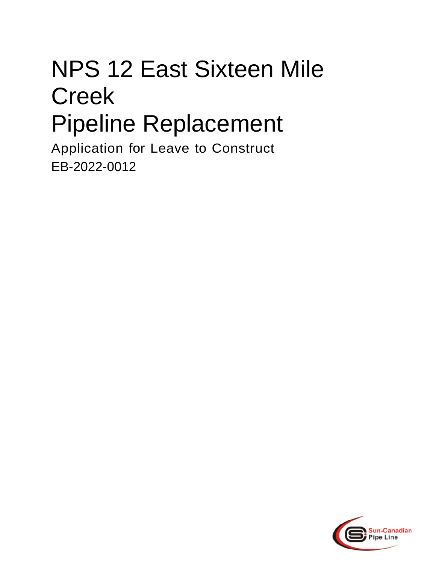# NPS 12 East Sixteen Mile Creek Pipeline Replacement

Application for Leave to Construct EB-2022-0012

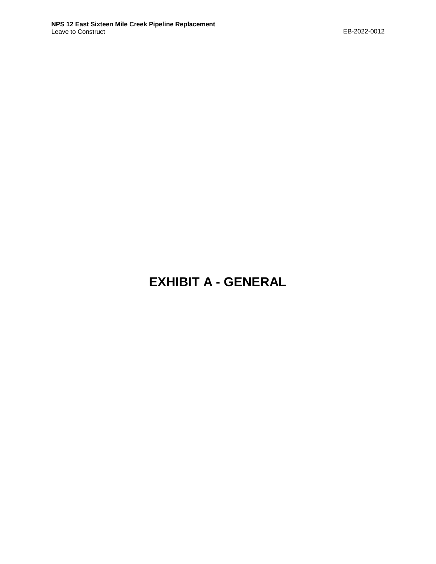# **EXHIBIT A - GENERAL**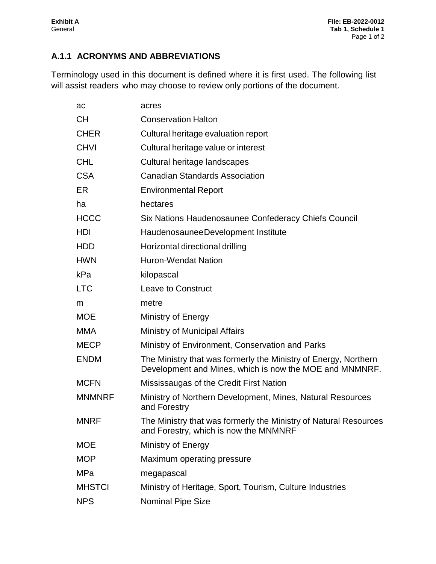# **A.1.1 ACRONYMS AND ABBREVIATIONS**

Terminology used in this document is defined where it is first used. The following list will assist readers who may choose to review only portions of the document.

| ac            | acres                                                                                                                      |
|---------------|----------------------------------------------------------------------------------------------------------------------------|
| <b>CH</b>     | <b>Conservation Halton</b>                                                                                                 |
| <b>CHER</b>   | Cultural heritage evaluation report                                                                                        |
| <b>CHVI</b>   | Cultural heritage value or interest                                                                                        |
| <b>CHL</b>    | Cultural heritage landscapes                                                                                               |
| <b>CSA</b>    | <b>Canadian Standards Association</b>                                                                                      |
| ER            | <b>Environmental Report</b>                                                                                                |
| ha            | hectares                                                                                                                   |
| <b>HCCC</b>   | Six Nations Haudenosaunee Confederacy Chiefs Council                                                                       |
| <b>HDI</b>    | HaudenosauneeDevelopment Institute                                                                                         |
| <b>HDD</b>    | Horizontal directional drilling                                                                                            |
| <b>HWN</b>    | <b>Huron-Wendat Nation</b>                                                                                                 |
| kPa           | kilopascal                                                                                                                 |
| <b>LTC</b>    | <b>Leave to Construct</b>                                                                                                  |
| m             | metre                                                                                                                      |
| <b>MOE</b>    | Ministry of Energy                                                                                                         |
| <b>MMA</b>    | Ministry of Municipal Affairs                                                                                              |
| <b>MECP</b>   | Ministry of Environment, Conservation and Parks                                                                            |
| <b>ENDM</b>   | The Ministry that was formerly the Ministry of Energy, Northern<br>Development and Mines, which is now the MOE and MNMNRF. |
| <b>MCFN</b>   | Mississaugas of the Credit First Nation                                                                                    |
| <b>MNMNRF</b> | Ministry of Northern Development, Mines, Natural Resources<br>and Forestry                                                 |
| <b>MNRF</b>   | The Ministry that was formerly the Ministry of Natural Resources<br>and Forestry, which is now the MNMNRF                  |
| <b>MOE</b>    | Ministry of Energy                                                                                                         |
| <b>MOP</b>    | Maximum operating pressure                                                                                                 |
| <b>MPa</b>    | megapascal                                                                                                                 |
| <b>MHSTCI</b> | Ministry of Heritage, Sport, Tourism, Culture Industries                                                                   |
| <b>NPS</b>    | <b>Nominal Pipe Size</b>                                                                                                   |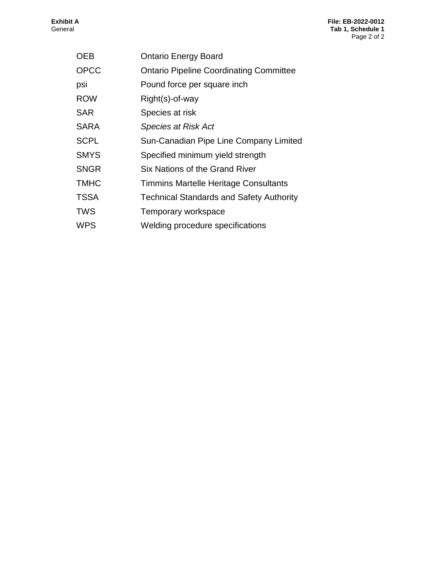| <b>OEB</b>  | <b>Ontario Energy Board</b>                     |
|-------------|-------------------------------------------------|
| <b>OPCC</b> | <b>Ontario Pipeline Coordinating Committee</b>  |
| psi         | Pound force per square inch                     |
| <b>ROW</b>  | Right(s)-of-way                                 |
| <b>SAR</b>  | Species at risk                                 |
| <b>SARA</b> | <b>Species at Risk Act</b>                      |
| <b>SCPL</b> | Sun-Canadian Pipe Line Company Limited          |
| <b>SMYS</b> | Specified minimum yield strength                |
| <b>SNGR</b> | Six Nations of the Grand River                  |
| <b>TMHC</b> | Timmins Martelle Heritage Consultants           |
| <b>TSSA</b> | <b>Technical Standards and Safety Authority</b> |
| <b>TWS</b>  | Temporary workspace                             |
| <b>WPS</b>  | Welding procedure specifications                |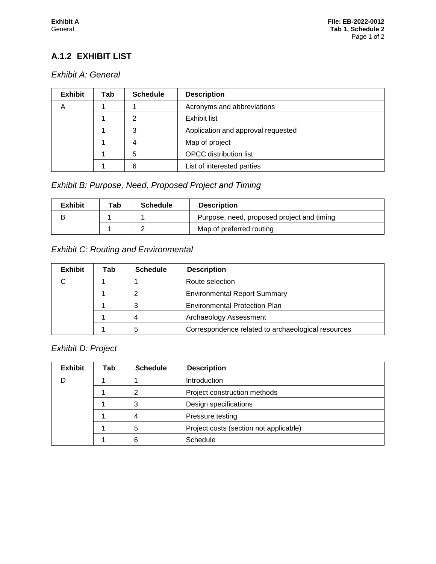# **A.1.2 EXHIBIT LIST**

#### *Exhibit A: General*

| <b>Exhibit</b> | Tab | <b>Schedule</b> | <b>Description</b>                 |  |  |  |
|----------------|-----|-----------------|------------------------------------|--|--|--|
| А              |     |                 | Acronyms and abbreviations         |  |  |  |
|                |     | າ               | <b>Exhibit list</b>                |  |  |  |
|                |     | 3               | Application and approval requested |  |  |  |
|                |     | 4               | Map of project                     |  |  |  |
|                |     | 5               | <b>OPCC</b> distribution list      |  |  |  |
|                |     | 6               | List of interested parties         |  |  |  |

# *Exhibit B: Purpose, Need, Proposed Project and Timing*

| <b>Exhibit</b> | Tab | <b>Schedule</b> | <b>Description</b>                         |  |  |  |  |  |
|----------------|-----|-----------------|--------------------------------------------|--|--|--|--|--|
| В              |     |                 | Purpose, need, proposed project and timing |  |  |  |  |  |
|                |     |                 | Map of preferred routing                   |  |  |  |  |  |

#### *Exhibit C: Routing and Environmental*

| <b>Exhibit</b> | Tab | <b>Schedule</b> | <b>Description</b>                                 |  |  |  |
|----------------|-----|-----------------|----------------------------------------------------|--|--|--|
|                |     |                 | Route selection                                    |  |  |  |
|                |     |                 | <b>Environmental Report Summary</b>                |  |  |  |
|                |     | ົ               | <b>Environmental Protection Plan</b>               |  |  |  |
|                |     |                 | Archaeology Assessment                             |  |  |  |
|                |     |                 | Correspondence related to archaeological resources |  |  |  |

# *Exhibit D: Project*

| <b>Exhibit</b> | Tab | <b>Schedule</b> | <b>Description</b>                     |  |  |  |
|----------------|-----|-----------------|----------------------------------------|--|--|--|
|                |     |                 | Introduction                           |  |  |  |
|                |     | ⌒               | Project construction methods           |  |  |  |
|                |     | っ               | Design specifications                  |  |  |  |
|                |     |                 | Pressure testing                       |  |  |  |
|                |     | 5               | Project costs (section not applicable) |  |  |  |
|                |     | 6               | Schedule                               |  |  |  |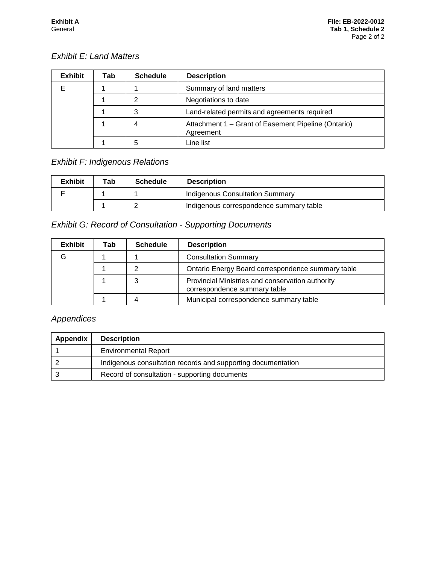# *Exhibit E: Land Matters*

| <b>Exhibit</b> | Tab | <b>Schedule</b> | <b>Description</b>                                               |  |  |  |  |  |
|----------------|-----|-----------------|------------------------------------------------------------------|--|--|--|--|--|
|                |     |                 | Summary of land matters                                          |  |  |  |  |  |
|                |     | ⌒               | Negotiations to date                                             |  |  |  |  |  |
|                |     | 3               | Land-related permits and agreements required                     |  |  |  |  |  |
|                |     |                 | Attachment 1 - Grant of Easement Pipeline (Ontario)<br>Agreement |  |  |  |  |  |
|                |     | 5               | Line list                                                        |  |  |  |  |  |

# *Exhibit F: Indigenous Relations*

| <b>Exhibit</b> | Tab | <b>Schedule</b> | <b>Description</b>                      |  |  |  |
|----------------|-----|-----------------|-----------------------------------------|--|--|--|
|                |     |                 | <b>Indigenous Consultation Summary</b>  |  |  |  |
|                |     |                 | Indigenous correspondence summary table |  |  |  |

# *Exhibit G: Record of Consultation - Supporting Documents*

| <b>Exhibit</b> | Tab | <b>Schedule</b> | <b>Description</b>                                                               |  |  |  |  |
|----------------|-----|-----------------|----------------------------------------------------------------------------------|--|--|--|--|
| G              |     |                 | <b>Consultation Summary</b>                                                      |  |  |  |  |
|                |     |                 | Ontario Energy Board correspondence summary table                                |  |  |  |  |
|                |     |                 | Provincial Ministries and conservation authority<br>correspondence summary table |  |  |  |  |
|                |     |                 | Municipal correspondence summary table                                           |  |  |  |  |

# *Appendices*

| Appendix | <b>Description</b>                                           |
|----------|--------------------------------------------------------------|
|          | <b>Environmental Report</b>                                  |
|          | Indigenous consultation records and supporting documentation |
|          | Record of consultation - supporting documents                |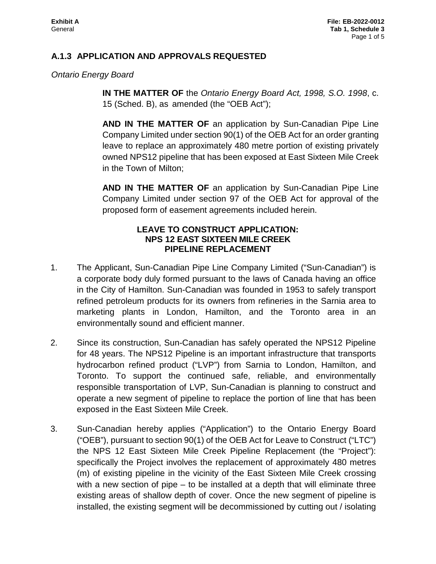#### **A.1.3 APPLICATION AND APPROVALS REQUESTED**

*Ontario Energy Board* 

**IN THE MATTER OF** the *Ontario Energy Board Act, 1998, S.O. 1998*, c. 15 (Sched. B), as amended (the "OEB Act");

**AND IN THE MATTER OF** an application by Sun-Canadian Pipe Line Company Limited under section 90(1) of the OEB Act for an order granting leave to replace an approximately 480 metre portion of existing privately owned NPS12 pipeline that has been exposed at East Sixteen Mile Creek in the Town of Milton;

**AND IN THE MATTER OF** an application by Sun-Canadian Pipe Line Company Limited under section 97 of the OEB Act for approval of the proposed form of easement agreements included herein.

#### **LEAVE TO CONSTRUCT APPLICATION: NPS 12 EAST SIXTEEN MILE CREEK PIPELINE REPLACEMENT**

- 1. The Applicant, Sun-Canadian Pipe Line Company Limited ("Sun-Canadian") is a corporate body duly formed pursuant to the laws of Canada having an office in the City of Hamilton. Sun-Canadian was founded in 1953 to safely transport refined petroleum products for its owners from refineries in the Sarnia area to marketing plants in London, Hamilton, and the Toronto area in an environmentally sound and efficient manner.
- 2. Since its construction, Sun-Canadian has safely operated the NPS12 Pipeline for 48 years. The NPS12 Pipeline is an important infrastructure that transports hydrocarbon refined product ("LVP") from Sarnia to London, Hamilton, and Toronto. To support the continued safe, reliable, and environmentally responsible transportation of LVP, Sun-Canadian is planning to construct and operate a new segment of pipeline to replace the portion of line that has been exposed in the East Sixteen Mile Creek.
- 3. Sun-Canadian hereby applies ("Application") to the Ontario Energy Board ("OEB"), pursuant to section 90(1) of the OEB Act for Leave to Construct ("LTC") the NPS 12 East Sixteen Mile Creek Pipeline Replacement (the "Project"): specifically the Project involves the replacement of approximately 480 metres (m) of existing pipeline in the vicinity of the East Sixteen Mile Creek crossing with a new section of pipe – to be installed at a depth that will eliminate three existing areas of shallow depth of cover. Once the new segment of pipeline is installed, the existing segment will be decommissioned by cutting out / isolating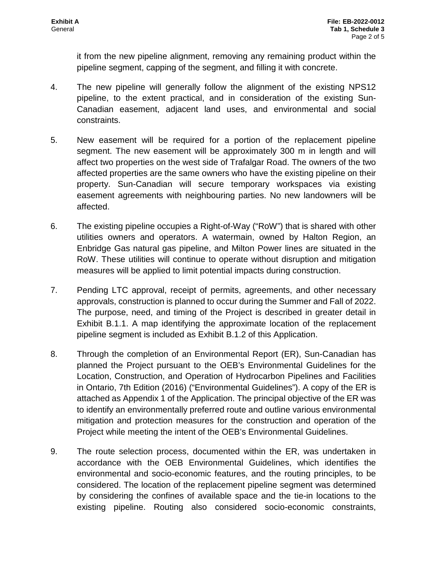it from the new pipeline alignment, removing any remaining product within the pipeline segment, capping of the segment, and filling it with concrete.

- 4. The new pipeline will generally follow the alignment of the existing NPS12 pipeline, to the extent practical, and in consideration of the existing Sun-Canadian easement, adjacent land uses, and environmental and social constraints.
- 5. New easement will be required for a portion of the replacement pipeline segment. The new easement will be approximately 300 m in length and will affect two properties on the west side of Trafalgar Road. The owners of the two affected properties are the same owners who have the existing pipeline on their property. Sun-Canadian will secure temporary workspaces via existing easement agreements with neighbouring parties. No new landowners will be affected.
- 6. The existing pipeline occupies a Right-of-Way ("RoW") that is shared with other utilities owners and operators. A watermain, owned by Halton Region, an Enbridge Gas natural gas pipeline, and Milton Power lines are situated in the RoW. These utilities will continue to operate without disruption and mitigation measures will be applied to limit potential impacts during construction.
- 7. Pending LTC approval, receipt of permits, agreements, and other necessary approvals, construction is planned to occur during the Summer and Fall of 2022. The purpose, need, and timing of the Project is described in greater detail in Exhibit B.1.1. A map identifying the approximate location of the replacement pipeline segment is included as Exhibit B.1.2 of this Application.
- 8. Through the completion of an Environmental Report (ER), Sun-Canadian has planned the Project pursuant to the OEB's Environmental Guidelines for the Location, Construction, and Operation of Hydrocarbon Pipelines and Facilities in Ontario, 7th Edition (2016) ("Environmental Guidelines"). A copy of the ER is attached as Appendix 1 of the Application. The principal objective of the ER was to identify an environmentally preferred route and outline various environmental mitigation and protection measures for the construction and operation of the Project while meeting the intent of the OEB's Environmental Guidelines.
- 9. The route selection process, documented within the ER, was undertaken in accordance with the OEB Environmental Guidelines, which identifies the environmental and socio-economic features, and the routing principles, to be considered. The location of the replacement pipeline segment was determined by considering the confines of available space and the tie-in locations to the existing pipeline. Routing also considered socio-economic constraints,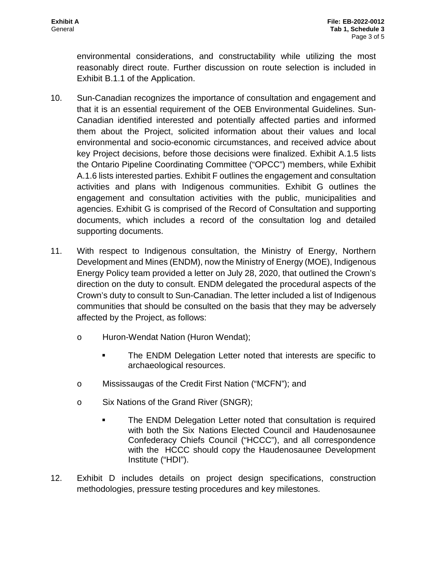environmental considerations, and constructability while utilizing the most reasonably direct route. Further discussion on route selection is included in Exhibit B.1.1 of the Application.

- 10. Sun-Canadian recognizes the importance of consultation and engagement and that it is an essential requirement of the OEB Environmental Guidelines. Sun-Canadian identified interested and potentially affected parties and informed them about the Project, solicited information about their values and local environmental and socio-economic circumstances, and received advice about key Project decisions, before those decisions were finalized. Exhibit A.1.5 lists the Ontario Pipeline Coordinating Committee ("OPCC") members, while Exhibit A.1.6 lists interested parties. Exhibit F outlines the engagement and consultation activities and plans with Indigenous communities. Exhibit G outlines the engagement and consultation activities with the public, municipalities and agencies. Exhibit G is comprised of the Record of Consultation and supporting documents, which includes a record of the consultation log and detailed supporting documents.
- 11. With respect to Indigenous consultation, the Ministry of Energy, Northern Development and Mines (ENDM), now the Ministry of Energy (MOE), Indigenous Energy Policy team provided a letter on July 28, 2020, that outlined the Crown's direction on the duty to consult. ENDM delegated the procedural aspects of the Crown's duty to consult to Sun-Canadian. The letter included a list of Indigenous communities that should be consulted on the basis that they may be adversely affected by the Project, as follows:
	- o Huron-Wendat Nation (Huron Wendat);
		- The ENDM Delegation Letter noted that interests are specific to archaeological resources.
	- o Mississaugas of the Credit First Nation ("MCFN"); and
	- o Six Nations of the Grand River (SNGR);
		- The ENDM Delegation Letter noted that consultation is required with both the Six Nations Elected Council and Haudenosaunee Confederacy Chiefs Council ("HCCC"), and all correspondence with the HCCC should copy the Haudenosaunee Development Institute ("HDI").
- 12. Exhibit D includes details on project design specifications, construction methodologies, pressure testing procedures and key milestones.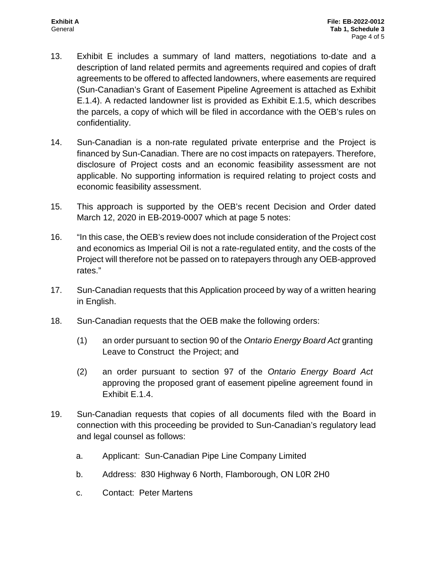- 13. Exhibit E includes a summary of land matters, negotiations to-date and a description of land related permits and agreements required and copies of draft agreements to be offered to affected landowners, where easements are required (Sun-Canadian's Grant of Easement Pipeline Agreement is attached as Exhibit E.1.4). A redacted landowner list is provided as Exhibit E.1.5, which describes the parcels, a copy of which will be filed in accordance with the OEB's rules on confidentiality.
- 14. Sun-Canadian is a non-rate regulated private enterprise and the Project is financed by Sun-Canadian. There are no cost impacts on ratepayers. Therefore, disclosure of Project costs and an economic feasibility assessment are not applicable. No supporting information is required relating to project costs and economic feasibility assessment.
- 15. This approach is supported by the OEB's recent Decision and Order dated March 12, 2020 in EB-2019-0007 which at page 5 notes:
- 16. "In this case, the OEB's review does not include consideration of the Project cost and economics as Imperial Oil is not a rate-regulated entity, and the costs of the Project will therefore not be passed on to ratepayers through any OEB-approved rates."
- 17. Sun-Canadian requests that this Application proceed by way of a written hearing in English.
- 18. Sun-Canadian requests that the OEB make the following orders:
	- (1) an order pursuant to section 90 of the *Ontario Energy Board Act* granting Leave to Construct the Project; and
	- (2) an order pursuant to section 97 of the *Ontario Energy Board Act*  approving the proposed grant of easement pipeline agreement found in Exhibit E.1.4.
- 19. Sun-Canadian requests that copies of all documents filed with the Board in connection with this proceeding be provided to Sun-Canadian's regulatory lead and legal counsel as follows:
	- a. Applicant: Sun-Canadian Pipe Line Company Limited
	- b. Address: 830 Highway 6 North, Flamborough, ON L0R 2H0
	- c. Contact: Peter Martens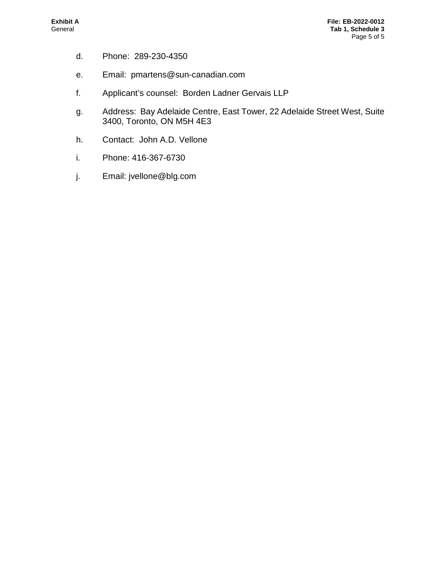- d. Phone: 289-230-4350
- e. Email: pmartens@sun-canadian.com
- f. Applicant's counsel: Borden Ladner Gervais LLP
- g. Address: Bay Adelaide Centre, East Tower, 22 Adelaide Street West, Suite 3400, Toronto, ON M5H 4E3
- h. Contact: John A.D. Vellone
- i. Phone: 416-367-6730
- j. Email: jvellone@blg.com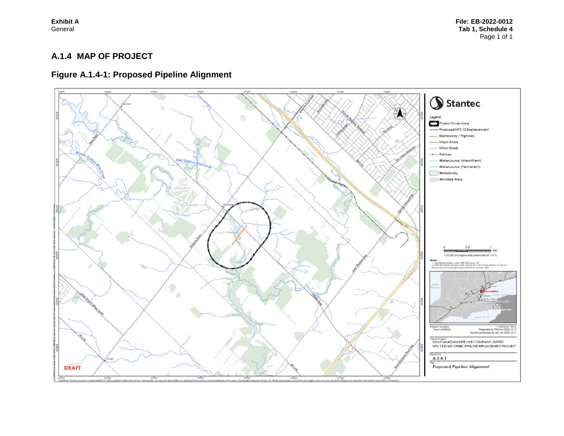#### **A.1.4 MAP OF PROJECT**

# **Figure A.1.4-1: Proposed Pipeline Alignment**

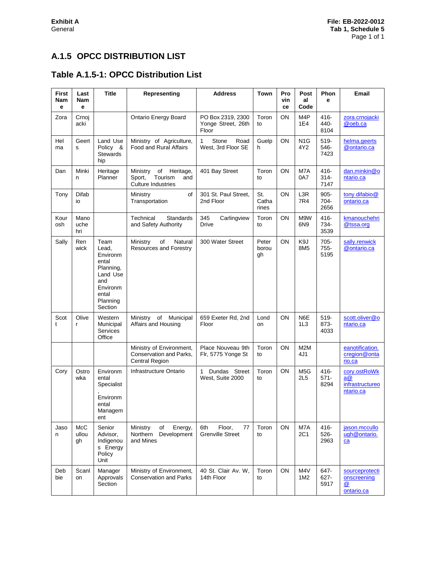# **A.1.5 OPCC DISTRIBUTION LIST**

# **Table A.1.5-1: OPCC Distribution List**

| <b>First</b><br>Nam<br>е | Last<br>Nam<br>е    | <b>Title</b>                                                                                                   | Representing                                                                  | <b>Address</b>                                   | <b>Town</b>           | Pro<br>vin<br>ce | Post<br>al<br>Code      | Phon<br>e                  | Email                                              |
|--------------------------|---------------------|----------------------------------------------------------------------------------------------------------------|-------------------------------------------------------------------------------|--------------------------------------------------|-----------------------|------------------|-------------------------|----------------------------|----------------------------------------------------|
| Zora                     | Crnoj<br>acki       |                                                                                                                | Ontario Energy Board                                                          | PO Box 2319, 2300<br>Yonge Street, 26th<br>Floor | Toron<br>to           | ON               | M4P<br>1E4              | $416 -$<br>440-<br>8104    | zora.crnojacki<br>@oeb.ca                          |
| Hel<br>ma                | Geert<br>s          | Land Use<br>Policy &<br><b>Stewards</b><br>hip                                                                 | Ministry of Agriculture,<br>Food and Rural Affairs                            | Stone<br>1<br>Road<br>West, 3rd Floor SE         | Guelp<br>h            | ON               | N <sub>1</sub> G<br>4Y2 | 519-<br>546-<br>7423       | helma.geerts<br>@ontario.ca                        |
| Dan                      | Minki<br>n          | Heritage<br>Planner                                                                                            | Ministry<br>of<br>Heritage,<br>Tourism<br>Sport,<br>and<br>Culture Industries | 401 Bay Street                                   | Toron<br>to           | ON               | M7A<br>0A7              | $416 -$<br>$314 -$<br>7147 | dan.minkin@o<br>ntario.ca                          |
| Tony                     | Difab<br>io         |                                                                                                                | of<br>Ministry<br>Transportation                                              | 301 St. Paul Street,<br>2nd Floor                | St.<br>Catha<br>rines | ON               | L3R<br>7R4              | $905 -$<br>704-<br>2656    | tony.difabio@<br>ontario.ca                        |
| Kour<br>osh              | Mano<br>uche<br>hri |                                                                                                                | Technical<br>Standards<br>and Safety Authority                                | 345<br>Carlingview<br><b>Drive</b>               | Toron<br>to           | OΝ               | M9W<br>6N9              | $416 -$<br>734-<br>3539    | kmanouchehri<br>@tssa.org                          |
| Sally                    | Ren<br>wick         | Team<br>Lead.<br>Environm<br>ental<br>Planning,<br>Land Use<br>and<br>Environm<br>ental<br>Planning<br>Section | of<br>Natural<br>Ministry<br>Resources and Forestry                           | 300 Water Street                                 | Peter<br>borou<br>gh  | ON               | K9J<br>8M <sub>5</sub>  | $705 -$<br>$755 -$<br>5195 | sally.renwick<br>@ontario.ca                       |
| Scot<br>t                | Olive<br>r          | Western<br>Municipal<br>Services<br>Office                                                                     | Ministry of Municipal<br>Affairs and Housing                                  | 659 Exeter Rd, 2nd<br>Floor                      | Lond<br>on            | ON               | N <sub>6</sub> E<br>1L3 | 519-<br>873-<br>4033       | scott.oliver@o<br>ntario.ca                        |
|                          |                     |                                                                                                                | Ministry of Environment,<br>Conservation and Parks,<br><b>Central Region</b>  | Place Nouveau 9th<br>Flr, 5775 Yonge St          | Toron<br>to           | ON               | M2M<br>4J1              |                            | eanotification.<br>cregion@onta<br>rio.ca          |
| Cory                     | Ostro<br>wka        | Environm<br>ental<br>Specialist<br>Environm<br>ental<br>Managem<br>ent                                         | Infrastructure Ontario                                                        | 1<br>Dundas Street<br>West, Suite 2000           | Toron<br>to           | ON               | M <sub>5</sub> G<br>2L5 | 416-<br>$571 -$<br>8294    | cory.ostRoWk<br>a@<br>infrastructureo<br>ntario.ca |
| Jaso<br>n                | McC<br>ullou<br>gh  | Senior<br>Advisor,<br>Indigenou<br>s Energy<br>Policy<br>Unit                                                  | of<br>Energy,<br>Ministry<br>Northern<br>Development<br>and Mines             | 6th<br>Floor,<br>77<br><b>Grenville Street</b>   | Toron<br>to           | ON               | M7A<br>2C1              | 416-<br>526-<br>2963       | jason.mccullo<br>ugh@ontario.<br>ca                |
| Deb<br>bie               | Scanl<br>on         | Manager<br>Approvals<br>Section                                                                                | Ministry of Environment,<br><b>Conservation and Parks</b>                     | 40 St. Clair Av. W.<br>14th Floor                | Toron<br>to           | ON               | M4V<br>1M2              | 647-<br>627-<br>5917       | sourceprotecti<br>onscreening<br>@<br>ontario.ca   |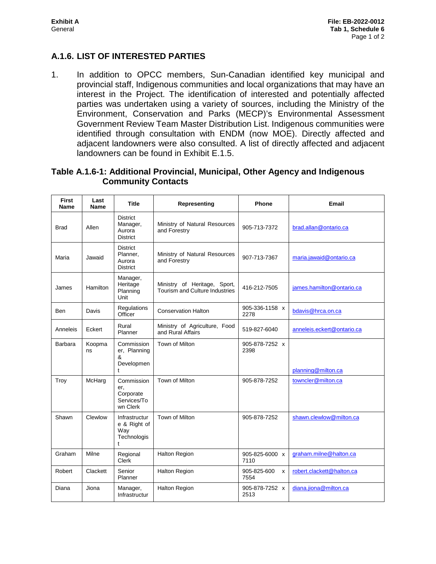#### **A.1.6. LIST OF INTERESTED PARTIES**

1. In addition to OPCC members, Sun-Canadian identified key municipal and provincial staff, Indigenous communities and local organizations that may have an interest in the Project. The identification of interested and potentially affected parties was undertaken using a variety of sources, including the Ministry of the Environment, Conservation and Parks (MECP)'s Environmental Assessment Government Review Team Master Distribution List. Indigenous communities were identified through consultation with ENDM (now MOE). Directly affected and adjacent landowners were also consulted. A list of directly affected and adjacent landowners can be found in Exhibit E.1.5.

#### **Table A.1.6-1: Additional Provincial, Municipal, Other Agency and Indigenous Community Contacts**

| <b>First</b><br>Name | Last<br>Name | Title                                                              | Representing                                                   | <b>Phone</b>             | Email                      |
|----------------------|--------------|--------------------------------------------------------------------|----------------------------------------------------------------|--------------------------|----------------------------|
| <b>Brad</b>          | Allen        | <b>District</b><br>Manager,<br>Aurora<br><b>District</b>           | Ministry of Natural Resources<br>and Forestry                  | 905-713-7372             | brad.allan@ontario.ca      |
| Maria                | Jawaid       | <b>District</b><br>Planner,<br>Aurora<br><b>District</b>           | Ministry of Natural Resources<br>and Forestry                  | 907-713-7367             | maria.jawaid@ontario.ca    |
| James                | Hamilton     | Manager,<br>Heritage<br>Planning<br>Unit                           | Ministry of Heritage, Sport,<br>Tourism and Culture Industries | 416-212-7505             | james.hamilton@ontario.ca  |
| Ben                  | Davis        | Regulations<br>Officer                                             | <b>Conservation Halton</b>                                     | 905-336-1158 x<br>2278   | bdavis@hrca.on.ca          |
| Anneleis             | Eckert       | Rural<br>Planner                                                   | Ministry of Agriculture, Food<br>and Rural Affairs             | 519-827-6040             | anneleis.eckert@ontario.ca |
| Barbara              | Koopma<br>ns | Commission<br>er, Planning<br>&<br>Developmen<br>$\ddagger$        | Town of Milton                                                 | 905-878-7252 x<br>2398   | planning@milton.ca         |
| Troy                 | McHarg       | Commission<br>er,<br>Corporate<br>Services/To<br>wn Clerk          | Town of Milton                                                 | 905-878-7252             | towncler@milton.ca         |
| Shawn                | Clewlow      | Infrastructur<br>e & Right of<br>Way<br>Technologis<br>$\mathbf t$ | Town of Milton                                                 | 905-878-7252             | shawn.clewlow@milton.ca    |
| Graham               | Milne        | Regional<br>Clerk                                                  | <b>Halton Region</b>                                           | 905-825-6000 x<br>7110   | graham.milne@halton.ca     |
| Robert               | Clackett     | Senior<br>Planner                                                  | <b>Halton Region</b>                                           | 905-825-600<br>X<br>7554 | robert.clackett@halton.ca  |
| Diana                | Jiona        | Manager,<br>Infrastructur                                          | <b>Halton Region</b>                                           | 905-878-7252 x<br>2513   | diana.jiona@milton.ca      |